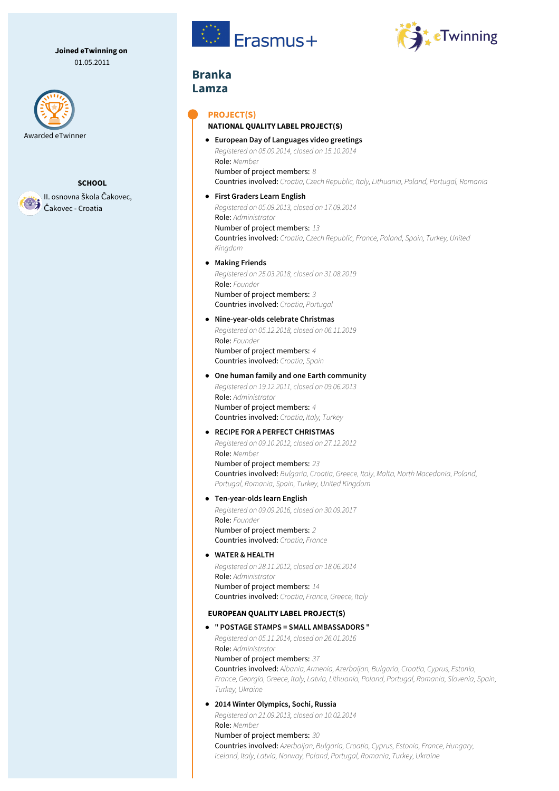**Joined eTwinning on** 01.05.2011





II. osnovna škola Čakovec, Čakovec - Croatia





# **Branka Lamza**

### **PROJECT(S)**

#### **NATIONAL QUALITY LABEL PROJECT(S)**

**European Day of Languages video greetings** *Registered on 05.09.2014, closed on 15.10.2014* Role: *Member* Number of project members: *8* Countries involved: *Croatia, Czech Republic, Italy, Lithuania, Poland, Portugal, Romania*

## **First Graders Learn English** *Registered on 05.09.2013, closed on 17.09.2014*

Role: *Administrator* Number of project members: *13* Countries involved: *Croatia, Czech Republic, France, Poland, Spain, Turkey, United Kingdom*

### **Making Friends**

*Registered on 25.03.2018, closed on 31.08.2019* Role: *Founder* Number of project members: *3* Countries involved: *Croatia, Portugal*

#### **Nine-year-olds celebrate Christmas**

*Registered on 05.12.2018, closed on 06.11.2019* Role: *Founder* Number of project members: *4* Countries involved: *Croatia, Spain*

### **One human family and one Earth community** *Registered on 19.12.2011, closed on 09.06.2013* Role: *Administrator* Number of project members: *4* Countries involved: *Croatia, Italy, Turkey*

### **RECIPE FOR A PERFECT CHRISTMAS**

*Registered on 09.10.2012, closed on 27.12.2012* Role: *Member* Number of project members: *23* Countries involved: *Bulgaria, Croatia, Greece, Italy, Malta, North Macedonia, Poland, Portugal, Romania, Spain, Turkey, United Kingdom*

#### **Ten-year-olds learn English**

*Registered on 09.09.2016, closed on 30.09.2017* Role: *Founder* Number of project members: *2* Countries involved: *Croatia, France*

#### **WATER & HEALTH**

*Registered on 28.11.2012, closed on 18.06.2014* Role: *Administrator* Number of project members: *14* Countries involved: *Croatia, France, Greece, Italy*

#### **EUROPEAN QUALITY LABEL PROJECT(S)**

**" POSTAGE STAMPS = SMALL AMBASSADORS "** *Registered on 05.11.2014, closed on 26.01.2016* Role: *Administrator* Number of project members: *37* Countries involved: *Albania, Armenia, Azerbaijan, Bulgaria, Croatia, Cyprus, Estonia, France, Georgia, Greece, Italy, Latvia, Lithuania, Poland, Portugal, Romania, Slovenia, Spain, Turkey, Ukraine*

### **2014 Winter Olympics, Sochi, Russia**

*Registered on 21.09.2013, closed on 10.02.2014* Role: *Member*

### Number of project members: *30*

Countries involved: *Azerbaijan, Bulgaria, Croatia, Cyprus, Estonia, France, Hungary, Iceland, Italy, Latvia, Norway, Poland, Portugal, Romania, Turkey, Ukraine*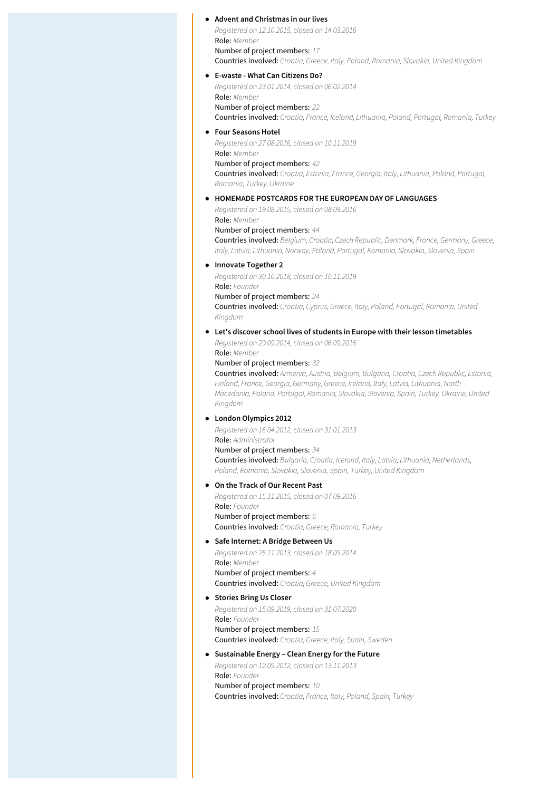#### **Advent and Christmas in our lives**

*Registered on 12.10.2015, closed on 14.03.2016* Role: *Member* Number of project members: *17* Countries involved: *Croatia, Greece, Italy, Poland, Romania, Slovakia, United Kingdom*

#### **E-waste - What Can Citizens Do?**

*Registered on 23.01.2014, closed on 06.02.2014* Role: *Member*

Number of project members: *22* Countries involved: *Croatia, France, Iceland, Lithuania, Poland, Portugal, Romania, Turkey*

#### **Four Seasons Hotel**

*Registered on 27.08.2016, closed on 10.11.2019* Role: *Member* Number of project members: *42* Countries involved: *Croatia, Estonia, France, Georgia, Italy, Lithuania, Poland, Portugal, Romania, Turkey, Ukraine*

#### **HOMEMADE POSTCARDS FOR THE EUROPEAN DAY OF LANGUAGES**

*Registered on 19.08.2015, closed on 08.09.2016* Role: *Member*

Number of project members: *44* Countries involved: *Belgium, Croatia, Czech Republic, Denmark, France, Germany, Greece,*

*Italy, Latvia, Lithuania, Norway, Poland, Portugal, Romania, Slovakia, Slovenia, Spain*

#### **Innovate Together 2**

*Registered on 30.10.2018, closed on 10.11.2019* Role: *Founder* Number of project members: *24* Countries involved: *Croatia, Cyprus, Greece, Italy, Poland, Portugal, Romania, United Kingdom*

**Let's discover school lives of students in Europe with their lesson timetables**

*Registered on 29.09.2014, closed on 06.09.2015* Role: *Member*

#### Number of project members: *32*

Countries involved: *Armenia, Austria, Belgium, Bulgaria, Croatia, Czech Republic, Estonia, Finland, France, Georgia, Germany, Greece, Ireland, Italy, Latvia, Lithuania, North Macedonia, Poland, Portugal, Romania, Slovakia, Slovenia, Spain, Turkey, Ukraine, United Kingdom*

#### **London Olympics 2012**

*Registered on 16.04.2012, closed on 31.01.2013* Role: *Administrator*

### Number of project members: *34*

Countries involved: *Bulgaria, Croatia, Iceland, Italy, Latvia, Lithuania, Netherlands, Poland, Romania, Slovakia, Slovenia, Spain, Turkey, United Kingdom*

#### **On the Track of Our Recent Past**

*Registered on 15.11.2015, closed on 07.09.2016* Role: *Founder* Number of project members: *6*

Countries involved: *Croatia, Greece, Romania, Turkey*

**Safe Internet: A Bridge Between Us**

*Registered on 25.11.2013, closed on 18.09.2014* Role: *Member* Number of project members: *4* Countries involved: *Croatia, Greece, United Kingdom*

#### **Stories Bring Us Closer**

*Registered on 15.09.2019, closed on 31.07.2020* Role: *Founder* Number of project members: *15* Countries involved: *Croatia, Greece, Italy, Spain, Sweden*

### **Sustainable Energy – Clean Energy for the Future**

*Registered on 12.09.2012, closed on 13.11.2013* Role: *Founder* Number of project members: *10*

Countries involved: *Croatia, France, Italy, Poland, Spain, Turkey*